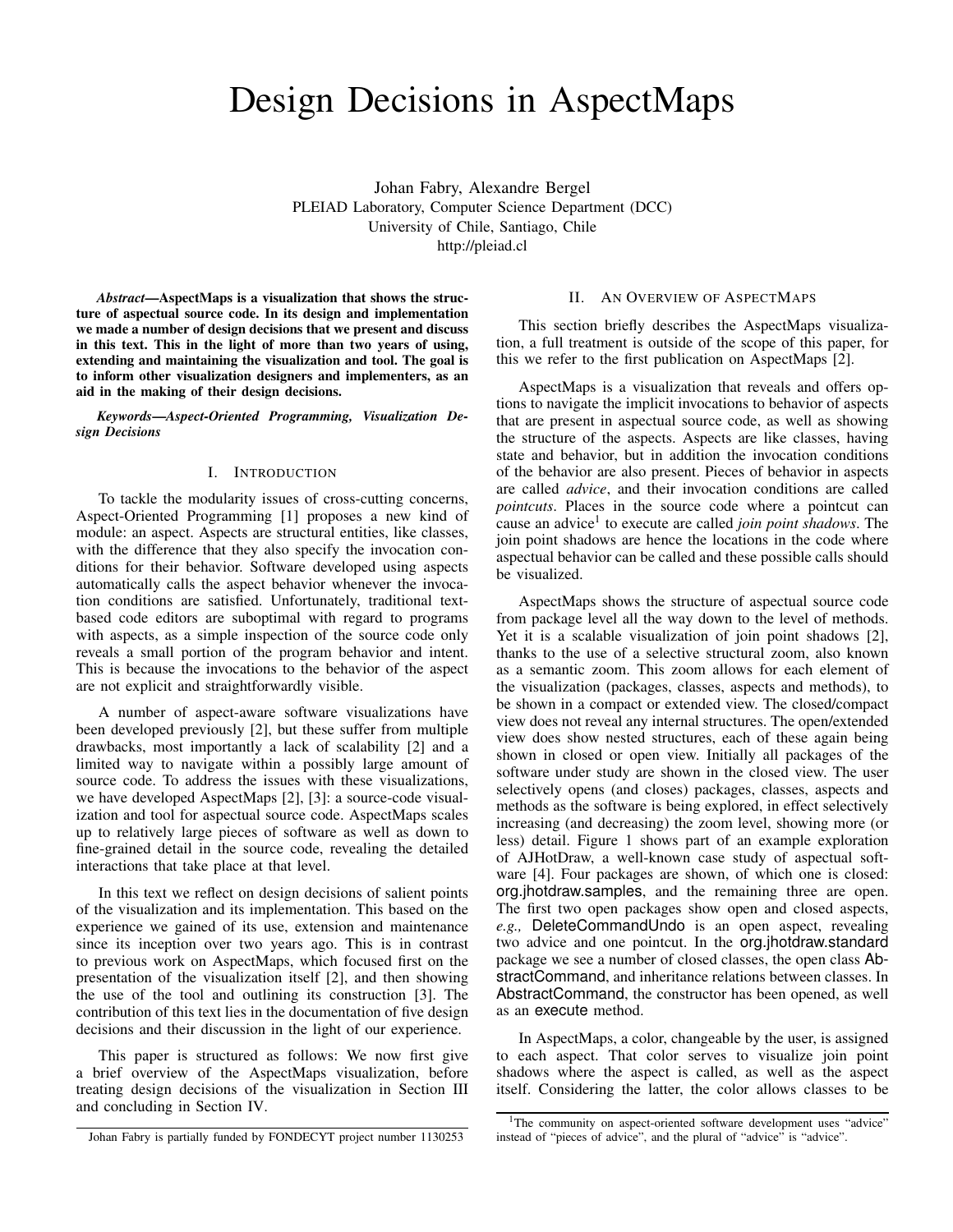# Design Decisions in AspectMaps

Johan Fabry, Alexandre Bergel PLEIAD Laboratory, Computer Science Department (DCC) University of Chile, Santiago, Chile http://pleiad.cl

*Abstract*—AspectMaps is a visualization that shows the structure of aspectual source code. In its design and implementation we made a number of design decisions that we present and discuss in this text. This in the light of more than two years of using, extending and maintaining the visualization and tool. The goal is to inform other visualization designers and implementers, as an aid in the making of their design decisions.

*Keywords*—*Aspect-Oriented Programming, Visualization Design Decisions*

## I. INTRODUCTION

To tackle the modularity issues of cross-cutting concerns, Aspect-Oriented Programming [1] proposes a new kind of module: an aspect. Aspects are structural entities, like classes, with the difference that they also specify the invocation conditions for their behavior. Software developed using aspects automatically calls the aspect behavior whenever the invocation conditions are satisfied. Unfortunately, traditional textbased code editors are suboptimal with regard to programs with aspects, as a simple inspection of the source code only reveals a small portion of the program behavior and intent. This is because the invocations to the behavior of the aspect are not explicit and straightforwardly visible.

A number of aspect-aware software visualizations have been developed previously [2], but these suffer from multiple drawbacks, most importantly a lack of scalability [2] and a limited way to navigate within a possibly large amount of source code. To address the issues with these visualizations, we have developed AspectMaps [2], [3]: a source-code visualization and tool for aspectual source code. AspectMaps scales up to relatively large pieces of software as well as down to fine-grained detail in the source code, revealing the detailed interactions that take place at that level.

In this text we reflect on design decisions of salient points of the visualization and its implementation. This based on the experience we gained of its use, extension and maintenance since its inception over two years ago. This is in contrast to previous work on AspectMaps, which focused first on the presentation of the visualization itself [2], and then showing the use of the tool and outlining its construction [3]. The contribution of this text lies in the documentation of five design decisions and their discussion in the light of our experience.

This paper is structured as follows: We now first give a brief overview of the AspectMaps visualization, before treating design decisions of the visualization in Section III and concluding in Section IV.

#### II. AN OVERVIEW OF ASPECTMAPS

This section briefly describes the AspectMaps visualization, a full treatment is outside of the scope of this paper, for this we refer to the first publication on AspectMaps [2].

AspectMaps is a visualization that reveals and offers options to navigate the implicit invocations to behavior of aspects that are present in aspectual source code, as well as showing the structure of the aspects. Aspects are like classes, having state and behavior, but in addition the invocation conditions of the behavior are also present. Pieces of behavior in aspects are called *advice*, and their invocation conditions are called *pointcuts*. Places in the source code where a pointcut can cause an advice<sup>1</sup> to execute are called *join point shadows*. The join point shadows are hence the locations in the code where aspectual behavior can be called and these possible calls should be visualized.

AspectMaps shows the structure of aspectual source code from package level all the way down to the level of methods. Yet it is a scalable visualization of join point shadows [2], thanks to the use of a selective structural zoom, also known as a semantic zoom. This zoom allows for each element of the visualization (packages, classes, aspects and methods), to be shown in a compact or extended view. The closed/compact view does not reveal any internal structures. The open/extended view does show nested structures, each of these again being shown in closed or open view. Initially all packages of the software under study are shown in the closed view. The user selectively opens (and closes) packages, classes, aspects and methods as the software is being explored, in effect selectively increasing (and decreasing) the zoom level, showing more (or less) detail. Figure 1 shows part of an example exploration of AJHotDraw, a well-known case study of aspectual software [4]. Four packages are shown, of which one is closed: org.jhotdraw.samples, and the remaining three are open. The first two open packages show open and closed aspects, *e.g.,* DeleteCommandUndo is an open aspect, revealing two advice and one pointcut. In the org.jhotdraw.standard package we see a number of closed classes, the open class AbstractCommand, and inheritance relations between classes. In AbstractCommand, the constructor has been opened, as well as an execute method.

In AspectMaps, a color, changeable by the user, is assigned to each aspect. That color serves to visualize join point shadows where the aspect is called, as well as the aspect itself. Considering the latter, the color allows classes to be

Johan Fabry is partially funded by FONDECYT project number 1130253

<sup>&</sup>lt;sup>1</sup>The community on aspect-oriented software development uses "advice" instead of "pieces of advice", and the plural of "advice" is "advice".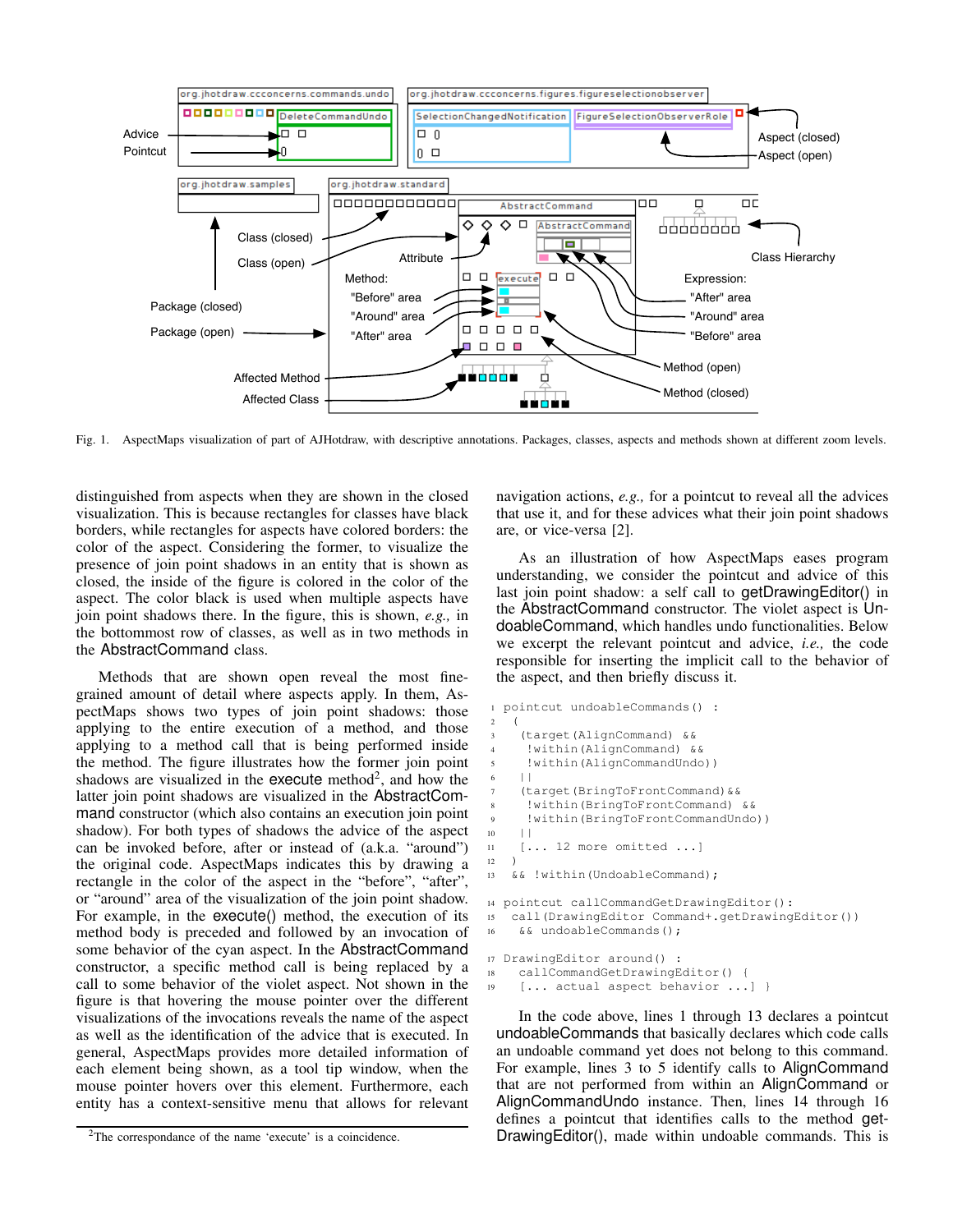

Fig. 1. AspectMaps visualization of part of AJHotdraw, with descriptive annotations. Packages, classes, aspects and methods shown at different zoom levels.

distinguished from aspects when they are shown in the closed visualization. This is because rectangles for classes have black borders, while rectangles for aspects have colored borders: the color of the aspect. Considering the former, to visualize the presence of join point shadows in an entity that is shown as closed, the inside of the figure is colored in the color of the aspect. The color black is used when multiple aspects have join point shadows there. In the figure, this is shown, *e.g.,* in the bottommost row of classes, as well as in two methods in the AbstractCommand class.

Methods that are shown open reveal the most finegrained amount of detail where aspects apply. In them, AspectMaps shows two types of join point shadows: those applying to the entire execution of a method, and those applying to a method call that is being performed inside the method. The figure illustrates how the former join point shadows are visualized in the execute method<sup>2</sup>, and how the latter join point shadows are visualized in the AbstractCommand constructor (which also contains an execution join point shadow). For both types of shadows the advice of the aspect can be invoked before, after or instead of (a.k.a. "around") the original code. AspectMaps indicates this by drawing a rectangle in the color of the aspect in the "before", "after", or "around" area of the visualization of the join point shadow. For example, in the execute() method, the execution of its method body is preceded and followed by an invocation of some behavior of the cyan aspect. In the AbstractCommand constructor, a specific method call is being replaced by a call to some behavior of the violet aspect. Not shown in the figure is that hovering the mouse pointer over the different visualizations of the invocations reveals the name of the aspect as well as the identification of the advice that is executed. In general, AspectMaps provides more detailed information of each element being shown, as a tool tip window, when the mouse pointer hovers over this element. Furthermore, each entity has a context-sensitive menu that allows for relevant navigation actions, *e.g.,* for a pointcut to reveal all the advices that use it, and for these advices what their join point shadows are, or vice-versa [2].

As an illustration of how AspectMaps eases program understanding, we consider the pointcut and advice of this last join point shadow: a self call to getDrawingEditor() in the AbstractCommand constructor. The violet aspect is UndoableCommand, which handles undo functionalities. Below we excerpt the relevant pointcut and advice, *i.e.,* the code responsible for inserting the implicit call to the behavior of the aspect, and then briefly discuss it.

```
1 pointcut undoableCommands() :
2 (
    3 (target(AlignCommand) &&
     4 !within(AlignCommand) &&
     !within(AlignCommandUndo))
    | \cdot |7 (target(BringToFrontCommand)&&
     8 !within(BringToFrontCommand) &&
     !within(BringToFrontCommandUndo))
10 ||
11 [... 12 more omitted ...]
12 )
13 && !within(UndoableCommand);
14 pointcut callCommandGetDrawingEditor():
15 call(DrawingEditor Command+.getDrawingEditor())
16 && undoableCommands();
17 DrawingEditor around() :
18 callCommandGetDrawingEditor() {
19 [... actual aspect behavior ...] }
```
In the code above, lines 1 through 13 declares a pointcut undoableCommands that basically declares which code calls an undoable command yet does not belong to this command. For example, lines 3 to 5 identify calls to AlignCommand that are not performed from within an AlignCommand or AlignCommandUndo instance. Then, lines 14 through 16 defines a pointcut that identifies calls to the method get-DrawingEditor(), made within undoable commands. This is

<sup>2</sup>The correspondance of the name 'execute' is a coincidence.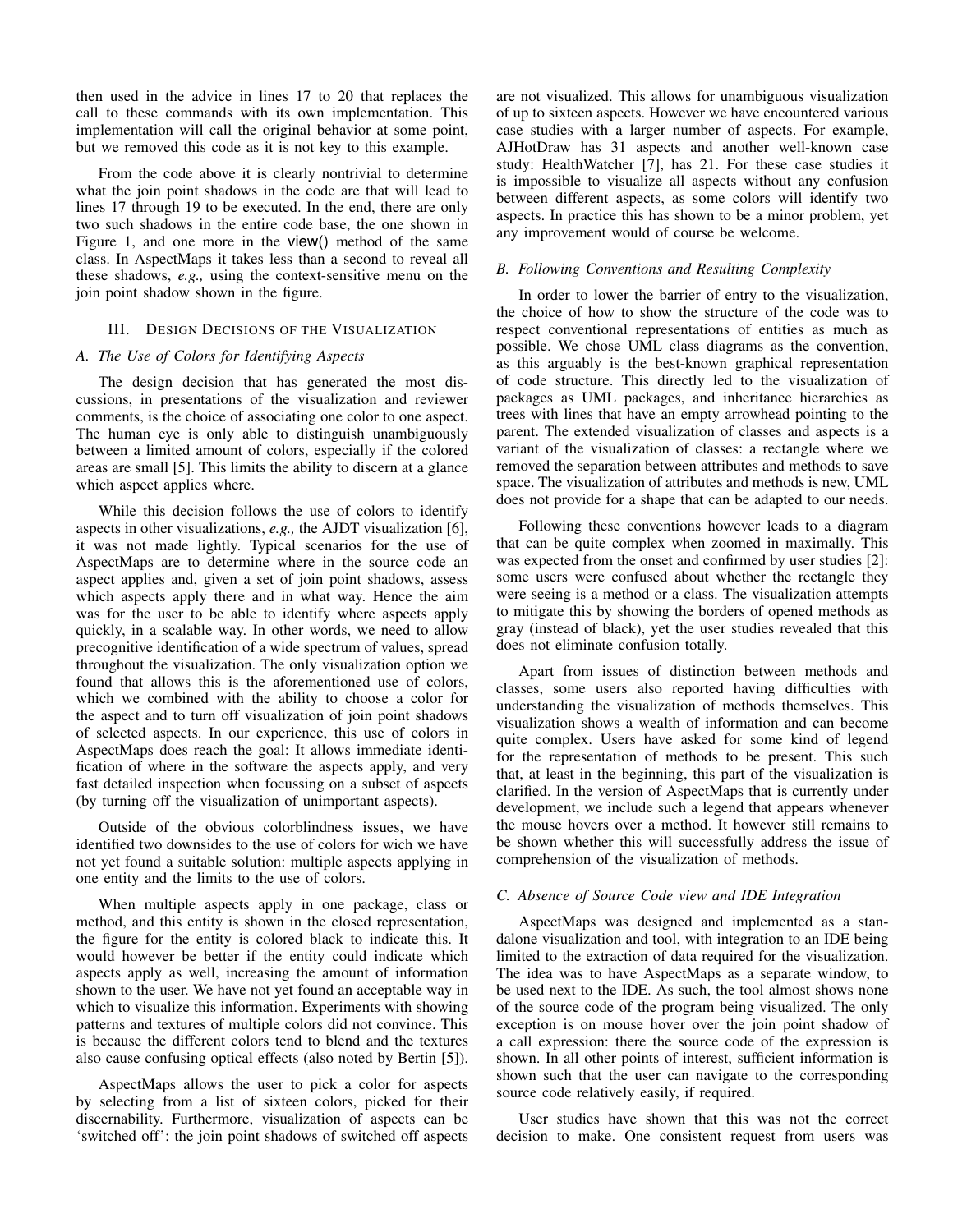then used in the advice in lines 17 to 20 that replaces the call to these commands with its own implementation. This implementation will call the original behavior at some point, but we removed this code as it is not key to this example.

From the code above it is clearly nontrivial to determine what the join point shadows in the code are that will lead to lines 17 through 19 to be executed. In the end, there are only two such shadows in the entire code base, the one shown in Figure 1, and one more in the view() method of the same class. In AspectMaps it takes less than a second to reveal all these shadows, *e.g.,* using the context-sensitive menu on the join point shadow shown in the figure.

## III. DESIGN DECISIONS OF THE VISUALIZATION

#### *A. The Use of Colors for Identifying Aspects*

The design decision that has generated the most discussions, in presentations of the visualization and reviewer comments, is the choice of associating one color to one aspect. The human eye is only able to distinguish unambiguously between a limited amount of colors, especially if the colored areas are small [5]. This limits the ability to discern at a glance which aspect applies where.

While this decision follows the use of colors to identify aspects in other visualizations, *e.g.,* the AJDT visualization [6], it was not made lightly. Typical scenarios for the use of AspectMaps are to determine where in the source code an aspect applies and, given a set of join point shadows, assess which aspects apply there and in what way. Hence the aim was for the user to be able to identify where aspects apply quickly, in a scalable way. In other words, we need to allow precognitive identification of a wide spectrum of values, spread throughout the visualization. The only visualization option we found that allows this is the aforementioned use of colors, which we combined with the ability to choose a color for the aspect and to turn off visualization of join point shadows of selected aspects. In our experience, this use of colors in AspectMaps does reach the goal: It allows immediate identification of where in the software the aspects apply, and very fast detailed inspection when focussing on a subset of aspects (by turning off the visualization of unimportant aspects).

Outside of the obvious colorblindness issues, we have identified two downsides to the use of colors for wich we have not yet found a suitable solution: multiple aspects applying in one entity and the limits to the use of colors.

When multiple aspects apply in one package, class or method, and this entity is shown in the closed representation, the figure for the entity is colored black to indicate this. It would however be better if the entity could indicate which aspects apply as well, increasing the amount of information shown to the user. We have not yet found an acceptable way in which to visualize this information. Experiments with showing patterns and textures of multiple colors did not convince. This is because the different colors tend to blend and the textures also cause confusing optical effects (also noted by Bertin [5]).

AspectMaps allows the user to pick a color for aspects by selecting from a list of sixteen colors, picked for their discernability. Furthermore, visualization of aspects can be 'switched off': the join point shadows of switched off aspects are not visualized. This allows for unambiguous visualization of up to sixteen aspects. However we have encountered various case studies with a larger number of aspects. For example, AJHotDraw has 31 aspects and another well-known case study: HealthWatcher [7], has 21. For these case studies it is impossible to visualize all aspects without any confusion between different aspects, as some colors will identify two aspects. In practice this has shown to be a minor problem, yet any improvement would of course be welcome.

## *B. Following Conventions and Resulting Complexity*

In order to lower the barrier of entry to the visualization, the choice of how to show the structure of the code was to respect conventional representations of entities as much as possible. We chose UML class diagrams as the convention, as this arguably is the best-known graphical representation of code structure. This directly led to the visualization of packages as UML packages, and inheritance hierarchies as trees with lines that have an empty arrowhead pointing to the parent. The extended visualization of classes and aspects is a variant of the visualization of classes: a rectangle where we removed the separation between attributes and methods to save space. The visualization of attributes and methods is new, UML does not provide for a shape that can be adapted to our needs.

Following these conventions however leads to a diagram that can be quite complex when zoomed in maximally. This was expected from the onset and confirmed by user studies [2]: some users were confused about whether the rectangle they were seeing is a method or a class. The visualization attempts to mitigate this by showing the borders of opened methods as gray (instead of black), yet the user studies revealed that this does not eliminate confusion totally.

Apart from issues of distinction between methods and classes, some users also reported having difficulties with understanding the visualization of methods themselves. This visualization shows a wealth of information and can become quite complex. Users have asked for some kind of legend for the representation of methods to be present. This such that, at least in the beginning, this part of the visualization is clarified. In the version of AspectMaps that is currently under development, we include such a legend that appears whenever the mouse hovers over a method. It however still remains to be shown whether this will successfully address the issue of comprehension of the visualization of methods.

## *C. Absence of Source Code view and IDE Integration*

AspectMaps was designed and implemented as a standalone visualization and tool, with integration to an IDE being limited to the extraction of data required for the visualization. The idea was to have AspectMaps as a separate window, to be used next to the IDE. As such, the tool almost shows none of the source code of the program being visualized. The only exception is on mouse hover over the join point shadow of a call expression: there the source code of the expression is shown. In all other points of interest, sufficient information is shown such that the user can navigate to the corresponding source code relatively easily, if required.

User studies have shown that this was not the correct decision to make. One consistent request from users was